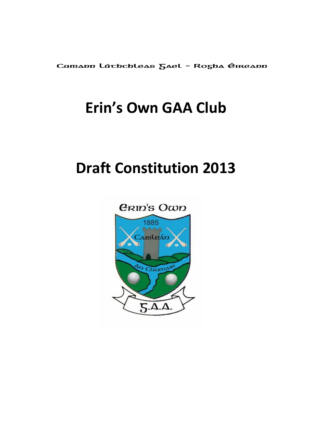Camann Láchchleas Jael - Rogha Éireann

# **Erin's Own GAA Club**

# **Draft Constitution 2013**

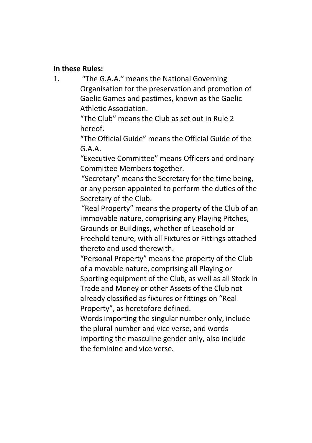#### **In these Rules:**

1. "The G.A.A." means the National Governing Organisation for the preservation and promotion of Gaelic Games and pastimes, known as the Gaelic Athletic Association.

> "The Club" means the Club as set out in Rule 2 hereof.

"The Official Guide" means the Official Guide of the G.A.A.

"Executive Committee" means Officers and ordinary Committee Members together.

"Secretary" means the Secretary for the time being, or any person appointed to perform the duties of the Secretary of the Club.

"Real Property" means the property of the Club of an immovable nature, comprising any Playing Pitches, Grounds or Buildings, whether of Leasehold or Freehold tenure, with all Fixtures or Fittings attached thereto and used therewith.

"Personal Property" means the property of the Club of a movable nature, comprising all Playing or Sporting equipment of the Club, as well as all Stock in Trade and Money or other Assets of the Club not already classified as fixtures or fittings on "Real Property", as heretofore defined.

Words importing the singular number only, include the plural number and vice verse, and words importing the masculine gender only, also include the feminine and vice verse.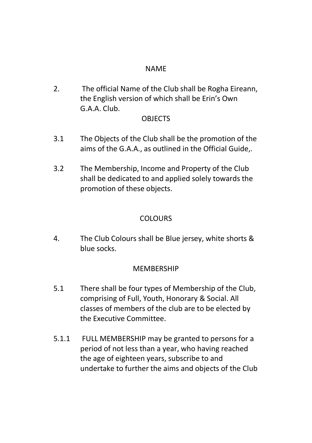## NAME

2. The official Name of the Club shall be Rogha Eireann, the English version of which shall be Erin's Own G.A.A. Club.

#### **OBJECTS**

- 3.1 The Objects of the Club shall be the promotion of the aims of the G.A.A., as outlined in the Official Guide,.
- 3.2 The Membership, Income and Property of the Club shall be dedicated to and applied solely towards the promotion of these objects.

# **COLOURS**

4. The Club Colours shall be Blue jersey, white shorts & blue socks.

## **MEMBERSHIP**

- 5.1 There shall be four types of Membership of the Club, comprising of Full, Youth, Honorary & Social. All classes of members of the club are to be elected by the Executive Committee.
- 5.1.1 FULL MEMBERSHIP may be granted to persons for a period of not less than a year, who having reached the age of eighteen years, subscribe to and undertake to further the aims and objects of the Club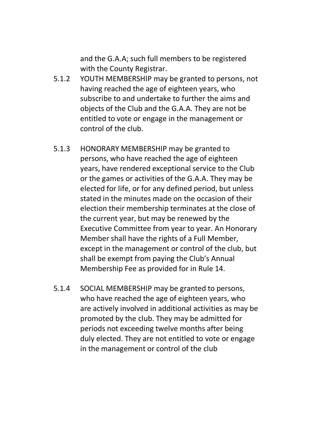and the G.A.A; such full members to be registered with the County Registrar.

- 5.1.2 YOUTH MEMBERSHIP may be granted to persons, not having reached the age of eighteen years, who subscribe to and undertake to further the aims and objects of the Club and the G.A.A. They are not be entitled to vote or engage in the management or control of the club.
- 5.1.3 HONORARY MEMBERSHIP may be granted to persons, who have reached the age of eighteen years, have rendered exceptional service to the Club or the games or activities of the G.A.A. They may be elected for life, or for any defined period, but unless stated in the minutes made on the occasion of their election their membership terminates at the close of the current year, but may be renewed by the Executive Committee from year to year. An Honorary Member shall have the rights of a Full Member, except in the management or control of the club, but shall be exempt from paying the Club's Annual Membership Fee as provided for in Rule 14.
- 5.1.4 SOCIAL MEMBERSHIP may be granted to persons, who have reached the age of eighteen years, who are actively involved in additional activities as may be promoted by the club. They may be admitted for periods not exceeding twelve months after being duly elected. They are not entitled to vote or engage in the management or control of the club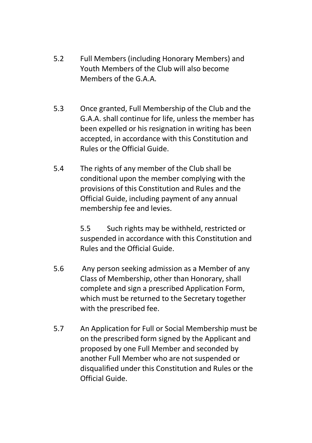- 5.2 Full Members (including Honorary Members) and Youth Members of the Club will also become Members of the G A A.
- 5.3 Once granted, Full Membership of the Club and the G.A.A. shall continue for life, unless the member has been expelled or his resignation in writing has been accepted, in accordance with this Constitution and Rules or the Official Guide.
- 5.4 The rights of any member of the Club shall be conditional upon the member complying with the provisions of this Constitution and Rules and the Official Guide, including payment of any annual membership fee and levies.

5.5 Such rights may be withheld, restricted or suspended in accordance with this Constitution and Rules and the Official Guide.

- 5.6 Any person seeking admission as a Member of any Class of Membership, other than Honorary, shall complete and sign a prescribed Application Form, which must be returned to the Secretary together with the prescribed fee.
- 5.7 An Application for Full or Social Membership must be on the prescribed form signed by the Applicant and proposed by one Full Member and seconded by another Full Member who are not suspended or disqualified under this Constitution and Rules or the Official Guide.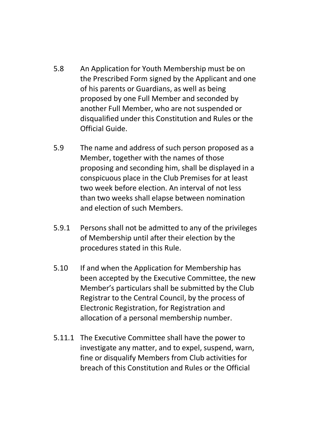- 5.8 An Application for Youth Membership must be on the Prescribed Form signed by the Applicant and one of his parents or Guardians, as well as being proposed by one Full Member and seconded by another Full Member, who are not suspended or disqualified under this Constitution and Rules or the Official Guide.
- 5.9 The name and address of such person proposed as a Member, together with the names of those proposing and seconding him, shall be displayed in a conspicuous place in the Club Premises for at least two week before election. An interval of not less than two weeks shall elapse between nomination and election of such Members.
- 5.9.1 Persons shall not be admitted to any of the privileges of Membership until after their election by the procedures stated in this Rule.
- 5.10 If and when the Application for Membership has been accepted by the Executive Committee, the new Member's particulars shall be submitted by the Club Registrar to the Central Council, by the process of Electronic Registration, for Registration and allocation of a personal membership number.
- 5.11.1 The Executive Committee shall have the power to investigate any matter, and to expel, suspend, warn, fine or disqualify Members from Club activities for breach of this Constitution and Rules or the Official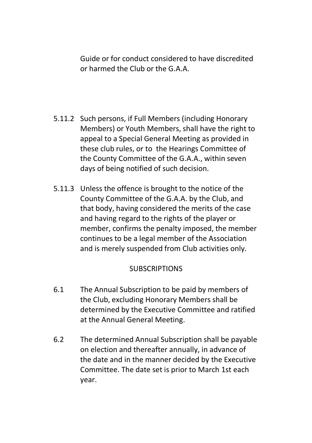Guide or for conduct considered to have discredited or harmed the Club or the G.A.A.

- 5.11.2 Such persons, if Full Members (including Honorary Members) or Youth Members, shall have the right to appeal to a Special General Meeting as provided in these club rules, or to the Hearings Committee of the County Committee of the G.A.A., within seven days of being notified of such decision.
- 5.11.3 Unless the offence is brought to the notice of the County Committee of the G.A.A. by the Club, and that body, having considered the merits of the case and having regard to the rights of the player or member, confirms the penalty imposed, the member continues to be a legal member of the Association and is merely suspended from Club activities only.

## **SUBSCRIPTIONS**

- 6.1 The Annual Subscription to be paid by members of the Club, excluding Honorary Members shall be determined by the Executive Committee and ratified at the Annual General Meeting.
- 6.2 The determined Annual Subscription shall be payable on election and thereafter annually, in advance of the date and in the manner decided by the Executive Committee. The date set is prior to March 1st each year.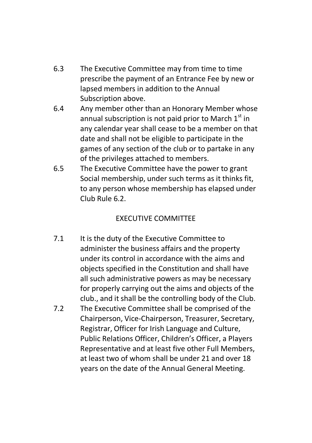- 6.3 The Executive Committee may from time to time prescribe the payment of an Entrance Fee by new or lapsed members in addition to the Annual Subscription above.
- 6.4 Any member other than an Honorary Member whose annual subscription is not paid prior to March  $1<sup>st</sup>$  in any calendar year shall cease to be a member on that date and shall not be eligible to participate in the games of any section of the club or to partake in any of the privileges attached to members.
- 6.5 The Executive Committee have the power to grant Social membership, under such terms as it thinks fit, to any person whose membership has elapsed under Club Rule 6.2.

# EXECUTIVE COMMITTEE

- 7.1 It is the duty of the Executive Committee to administer the business affairs and the property under its control in accordance with the aims and objects specified in the Constitution and shall have all such administrative powers as may be necessary for properly carrying out the aims and objects of the club., and it shall be the controlling body of the Club.
- 7.2 The Executive Committee shall be comprised of the Chairperson, Vice-Chairperson, Treasurer, Secretary, Registrar, Officer for Irish Language and Culture, Public Relations Officer, Children's Officer, a Players Representative and at least five other Full Members, at least two of whom shall be under 21 and over 18 years on the date of the Annual General Meeting.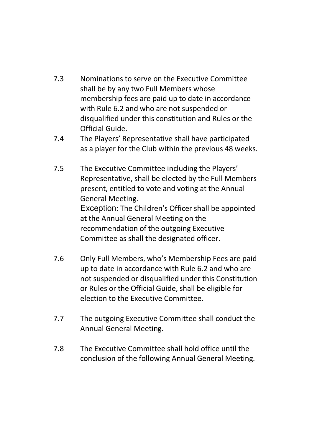- 7.3 Nominations to serve on the Executive Committee shall be by any two Full Members whose membership fees are paid up to date in accordance with Rule 6.2 and who are not suspended or disqualified under this constitution and Rules or the Official Guide.
- 7.4 The Players' Representative shall have participated as a player for the Club within the previous 48 weeks.
- 7.5 The Executive Committee including the Players' Representative, shall be elected by the Full Members present, entitled to vote and voting at the Annual General Meeting. Exception: The Children's Officer shall be appointed at the Annual General Meeting on the recommendation of the outgoing Executive Committee as shall the designated officer.
- 7.6 Only Full Members, who's Membership Fees are paid up to date in accordance with Rule 6.2 and who are not suspended or disqualified under this Constitution or Rules or the Official Guide, shall be eligible for election to the Executive Committee.
- 7.7 The outgoing Executive Committee shall conduct the Annual General Meeting.
- 7.8 The Executive Committee shall hold office until the conclusion of the following Annual General Meeting.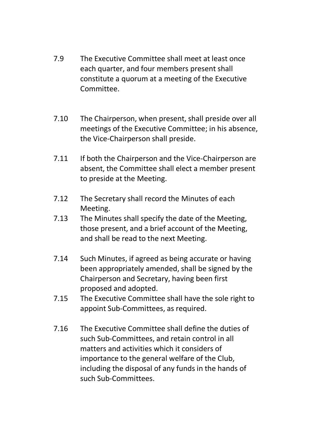- 7.9 The Executive Committee shall meet at least once each quarter, and four members present shall constitute a quorum at a meeting of the Executive Committee.
- 7.10 The Chairperson, when present, shall preside over all meetings of the Executive Committee; in his absence, the Vice-Chairperson shall preside.
- 7.11 If both the Chairperson and the Vice-Chairperson are absent, the Committee shall elect a member present to preside at the Meeting.
- 7.12 The Secretary shall record the Minutes of each Meeting.
- 7.13 The Minutes shall specify the date of the Meeting, those present, and a brief account of the Meeting, and shall be read to the next Meeting.
- 7.14 Such Minutes, if agreed as being accurate or having been appropriately amended, shall be signed by the Chairperson and Secretary, having been first proposed and adopted.
- 7.15 The Executive Committee shall have the sole right to appoint Sub-Committees, as required.
- 7.16 The Executive Committee shall define the duties of such Sub-Committees, and retain control in all matters and activities which it considers of importance to the general welfare of the Club, including the disposal of any funds in the hands of such Sub-Committees.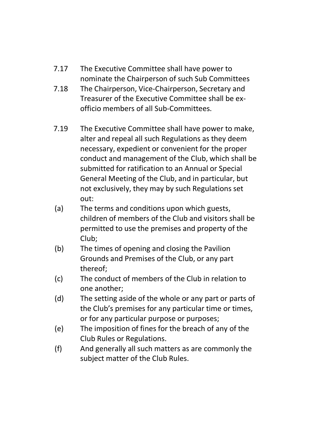- 7.17 The Executive Committee shall have power to nominate the Chairperson of such Sub Committees
- 7.18 The Chairperson, Vice-Chairperson, Secretary and Treasurer of the Executive Committee shall be exofficio members of all Sub-Committees.
- 7.19 The Executive Committee shall have power to make, alter and repeal all such Regulations as they deem necessary, expedient or convenient for the proper conduct and management of the Club, which shall be submitted for ratification to an Annual or Special General Meeting of the Club, and in particular, but not exclusively, they may by such Regulations set out:
- (a) The terms and conditions upon which guests, children of members of the Club and visitors shall be permitted to use the premises and property of the Club;
- (b) The times of opening and closing the Pavilion Grounds and Premises of the Club, or any part thereof;
- (c) The conduct of members of the Club in relation to one another;
- (d) The setting aside of the whole or any part or parts of the Club's premises for any particular time or times, or for any particular purpose or purposes;
- (e) The imposition of fines for the breach of any of the Club Rules or Regulations.
- (f) And generally all such matters as are commonly the subject matter of the Club Rules.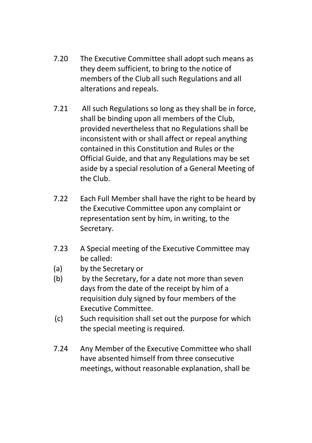- 7.20 The Executive Committee shall adopt such means as they deem sufficient, to bring to the notice of members of the Club all such Regulations and all alterations and repeals.
- 7.21 All such Regulations so long as they shall be in force, shall be binding upon all members of the Club, provided nevertheless that no Regulations shall be inconsistent with or shall affect or repeal anything contained in this Constitution and Rules or the Official Guide, and that any Regulations may be set aside by a special resolution of a General Meeting of the Club.
- 7.22 Each Full Member shall have the right to be heard by the Executive Committee upon any complaint or representation sent by him, in writing, to the Secretary.
- 7.23 A Special meeting of the Executive Committee may be called:
- (a) by the Secretary or
- (b) by the Secretary, for a date not more than seven days from the date of the receipt by him of a requisition duly signed by four members of the Executive Committee.
- (c) Such requisition shall set out the purpose for which the special meeting is required.
- 7.24 Any Member of the Executive Committee who shall have absented himself from three consecutive meetings, without reasonable explanation, shall be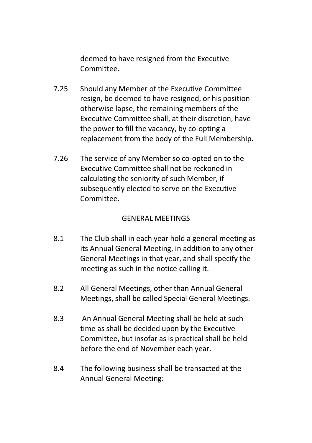deemed to have resigned from the Executive Committee.

- 7.25 Should any Member of the Executive Committee resign, be deemed to have resigned, or his position otherwise lapse, the remaining members of the Executive Committee shall, at their discretion, have the power to fill the vacancy, by co-opting a replacement from the body of the Full Membership.
- 7.26 The service of any Member so co-opted on to the Executive Committee shall not be reckoned in calculating the seniority of such Member, if subsequently elected to serve on the Executive Committee.

#### GENERAL MEETINGS

- 8.1 The Club shall in each year hold a general meeting as its Annual General Meeting, in addition to any other General Meetings in that year, and shall specify the meeting as such in the notice calling it.
- 8.2 All General Meetings, other than Annual General Meetings, shall be called Special General Meetings.
- 8.3 An Annual General Meeting shall be held at such time as shall be decided upon by the Executive Committee, but insofar as is practical shall be held before the end of November each year.
- 8.4 The following business shall be transacted at the Annual General Meeting: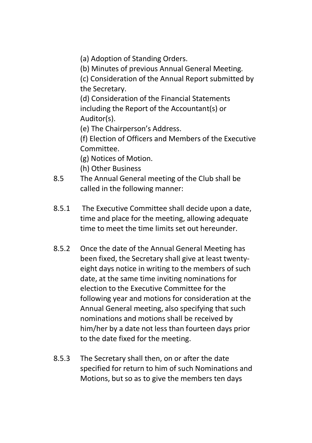(a) Adoption of Standing Orders.

(b) Minutes of previous Annual General Meeting.

(c) Consideration of the Annual Report submitted by the Secretary.

(d) Consideration of the Financial Statements including the Report of the Accountant(s) or Auditor(s).

(e) The Chairperson's Address.

(f) Election of Officers and Members of the Executive Committee.

(g) Notices of Motion.

- (h) Other Business
- 8.5 The Annual General meeting of the Club shall be called in the following manner:
- 8.5.1 The Executive Committee shall decide upon a date, time and place for the meeting, allowing adequate time to meet the time limits set out hereunder.
- 8.5.2 Once the date of the Annual General Meeting has been fixed, the Secretary shall give at least twentyeight days notice in writing to the members of such date, at the same time inviting nominations for election to the Executive Committee for the following year and motions for consideration at the Annual General meeting, also specifying that such nominations and motions shall be received by him/her by a date not less than fourteen days prior to the date fixed for the meeting.
- 8.5.3 The Secretary shall then, on or after the date specified for return to him of such Nominations and Motions, but so as to give the members ten days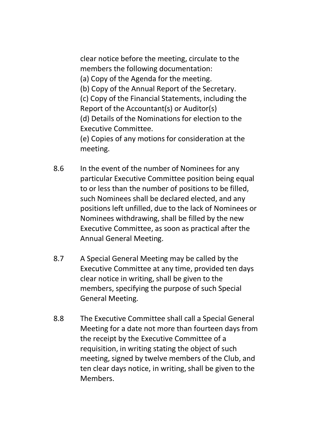clear notice before the meeting, circulate to the members the following documentation: (a) Copy of the Agenda for the meeting.

(b) Copy of the Annual Report of the Secretary.

(c) Copy of the Financial Statements, including the Report of the Accountant(s) or Auditor(s) (d) Details of the Nominations for election to the Executive Committee.

(e) Copies of any motions for consideration at the meeting.

- 8.6 In the event of the number of Nominees for any particular Executive Committee position being equal to or less than the number of positions to be filled, such Nominees shall be declared elected, and any positions left unfilled, due to the lack of Nominees or Nominees withdrawing, shall be filled by the new Executive Committee, as soon as practical after the Annual General Meeting.
- 8.7 A Special General Meeting may be called by the Executive Committee at any time, provided ten days clear notice in writing, shall be given to the members, specifying the purpose of such Special General Meeting.
- 8.8 The Executive Committee shall call a Special General Meeting for a date not more than fourteen days from the receipt by the Executive Committee of a requisition, in writing stating the object of such meeting, signed by twelve members of the Club, and ten clear days notice, in writing, shall be given to the Members.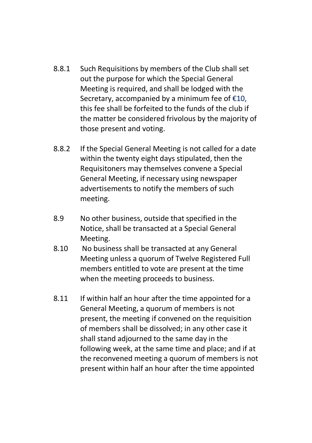- 8.8.1 Such Requisitions by members of the Club shall set out the purpose for which the Special General Meeting is required, and shall be lodged with the Secretary, accompanied by a minimum fee of €10, this fee shall be forfeited to the funds of the club if the matter be considered frivolous by the majority of those present and voting.
- 8.8.2 If the Special General Meeting is not called for a date within the twenty eight days stipulated, then the Requisitoners may themselves convene a Special General Meeting, if necessary using newspaper advertisements to notify the members of such meeting.
- 8.9 No other business, outside that specified in the Notice, shall be transacted at a Special General Meeting.
- 8.10 No business shall be transacted at any General Meeting unless a quorum of Twelve Registered Full members entitled to vote are present at the time when the meeting proceeds to business.
- 8.11 If within half an hour after the time appointed for a General Meeting, a quorum of members is not present, the meeting if convened on the requisition of members shall be dissolved; in any other case it shall stand adjourned to the same day in the following week, at the same time and place; and if at the reconvened meeting a quorum of members is not present within half an hour after the time appointed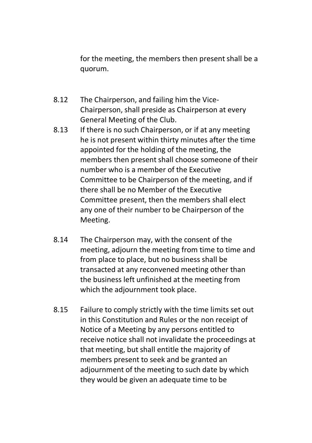for the meeting, the members then present shall be a quorum.

- 8.12 The Chairperson, and failing him the Vice-Chairperson, shall preside as Chairperson at every General Meeting of the Club.
- 8.13 If there is no such Chairperson, or if at any meeting he is not present within thirty minutes after the time appointed for the holding of the meeting, the members then present shall choose someone of their number who is a member of the Executive Committee to be Chairperson of the meeting, and if there shall be no Member of the Executive Committee present, then the members shall elect any one of their number to be Chairperson of the Meeting.
- 8.14 The Chairperson may, with the consent of the meeting, adjourn the meeting from time to time and from place to place, but no business shall be transacted at any reconvened meeting other than the business left unfinished at the meeting from which the adjournment took place.
- 8.15 Failure to comply strictly with the time limits set out in this Constitution and Rules or the non receipt of Notice of a Meeting by any persons entitled to receive notice shall not invalidate the proceedings at that meeting, but shall entitle the majority of members present to seek and be granted an adjournment of the meeting to such date by which they would be given an adequate time to be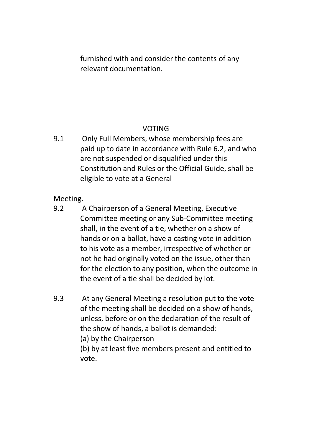furnished with and consider the contents of any relevant documentation.

# VOTING

9.1 Only Full Members, whose membership fees are paid up to date in accordance with Rule 6.2, and who are not suspended or disqualified under this Constitution and Rules or the Official Guide, shall be eligible to vote at a General

Meeting.

- 9.2 A Chairperson of a General Meeting, Executive Committee meeting or any Sub-Committee meeting shall, in the event of a tie, whether on a show of hands or on a ballot, have a casting vote in addition to his vote as a member, irrespective of whether or not he had originally voted on the issue, other than for the election to any position, when the outcome in the event of a tie shall be decided by lot.
- 9.3 At any General Meeting a resolution put to the vote of the meeting shall be decided on a show of hands, unless, before or on the declaration of the result of the show of hands, a ballot is demanded:
	- (a) by the Chairperson

(b) by at least five members present and entitled to vote.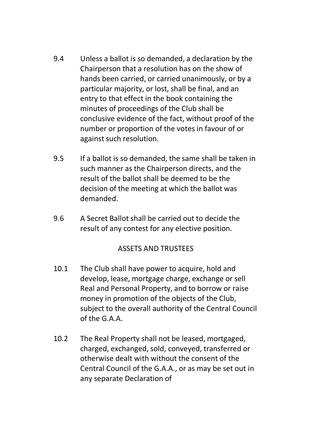- 9.4 Unless a ballot is so demanded, a declaration by the Chairperson that a resolution has on the show of hands been carried, or carried unanimously, or by a particular majority, or lost, shall be final, and an entry to that effect in the book containing the minutes of proceedings of the Club shall be conclusive evidence of the fact, without proof of the number or proportion of the votes in favour of or against such resolution.
- 9.5 If a ballot is so demanded, the same shall be taken in such manner as the Chairperson directs, and the result of the ballot shall be deemed to be the decision of the meeting at which the ballot was demanded.
- 9.6 A Secret Ballot shall be carried out to decide the result of any contest for any elective position.

## ASSETS AND TRUSTEES

- 10.1 The Club shall have power to acquire, hold and develop, lease, mortgage charge, exchange or sell Real and Personal Property, and to borrow or raise money in promotion of the objects of the Club, subject to the overall authority of the Central Council of the G.A.A.
- 10.2 The Real Property shall not be leased, mortgaged, charged, exchanged, sold, conveyed, transferred or otherwise dealt with without the consent of the Central Council of the G.A.A., or as may be set out in any separate Declaration of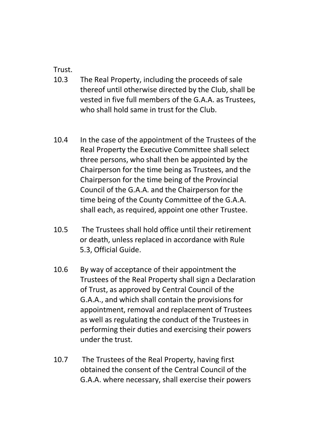Trust.

- 10.3 The Real Property, including the proceeds of sale thereof until otherwise directed by the Club, shall be vested in five full members of the G.A.A. as Trustees, who shall hold same in trust for the Club.
- 10.4 In the case of the appointment of the Trustees of the Real Property the Executive Committee shall select three persons, who shall then be appointed by the Chairperson for the time being as Trustees, and the Chairperson for the time being of the Provincial Council of the G.A.A. and the Chairperson for the time being of the County Committee of the G.A.A. shall each, as required, appoint one other Trustee.
- 10.5 The Trustees shall hold office until their retirement or death, unless replaced in accordance with Rule 5.3, Official Guide.
- 10.6 By way of acceptance of their appointment the Trustees of the Real Property shall sign a Declaration of Trust, as approved by Central Council of the G.A.A., and which shall contain the provisions for appointment, removal and replacement of Trustees as well as regulating the conduct of the Trustees in performing their duties and exercising their powers under the trust.
- 10.7 The Trustees of the Real Property, having first obtained the consent of the Central Council of the G.A.A. where necessary, shall exercise their powers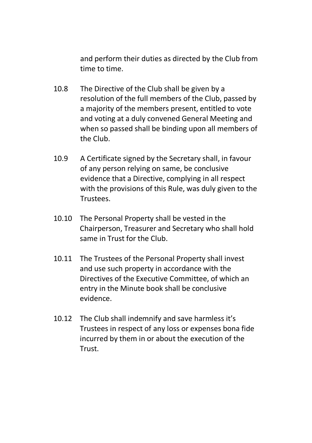and perform their duties as directed by the Club from time to time.

- 10.8 The Directive of the Club shall be given by a resolution of the full members of the Club, passed by a majority of the members present, entitled to vote and voting at a duly convened General Meeting and when so passed shall be binding upon all members of the Club.
- 10.9 A Certificate signed by the Secretary shall, in favour of any person relying on same, be conclusive evidence that a Directive, complying in all respect with the provisions of this Rule, was duly given to the Trustees.
- 10.10 The Personal Property shall be vested in the Chairperson, Treasurer and Secretary who shall hold same in Trust for the Club.
- 10.11 The Trustees of the Personal Property shall invest and use such property in accordance with the Directives of the Executive Committee, of which an entry in the Minute book shall be conclusive evidence.
- 10.12 The Club shall indemnify and save harmless it's Trustees in respect of any loss or expenses bona fide incurred by them in or about the execution of the **Trust**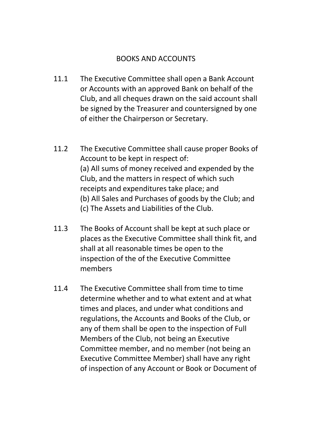## BOOKS AND ACCOUNTS

- 11.1 The Executive Committee shall open a Bank Account or Accounts with an approved Bank on behalf of the Club, and all cheques drawn on the said account shall be signed by the Treasurer and countersigned by one of either the Chairperson or Secretary.
- 11.2 The Executive Committee shall cause proper Books of Account to be kept in respect of: (a) All sums of money received and expended by the Club, and the matters in respect of which such receipts and expenditures take place; and (b) All Sales and Purchases of goods by the Club; and (c) The Assets and Liabilities of the Club.
- 11.3 The Books of Account shall be kept at such place or places as the Executive Committee shall think fit, and shall at all reasonable times be open to the inspection of the of the Executive Committee members
- 11.4 The Executive Committee shall from time to time determine whether and to what extent and at what times and places, and under what conditions and regulations, the Accounts and Books of the Club, or any of them shall be open to the inspection of Full Members of the Club, not being an Executive Committee member, and no member (not being an Executive Committee Member) shall have any right of inspection of any Account or Book or Document of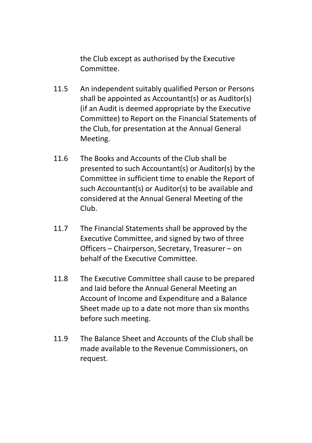the Club except as authorised by the Executive Committee.

- 11.5 An independent suitably qualified Person or Persons shall be appointed as Accountant(s) or as Auditor(s) (if an Audit is deemed appropriate by the Executive Committee) to Report on the Financial Statements of the Club, for presentation at the Annual General Meeting.
- 11.6 The Books and Accounts of the Club shall be presented to such Accountant(s) or Auditor(s) by the Committee in sufficient time to enable the Report of such Accountant(s) or Auditor(s) to be available and considered at the Annual General Meeting of the Club.
- 11.7 The Financial Statements shall be approved by the Executive Committee, and signed by two of three Officers – Chairperson, Secretary, Treasurer – on behalf of the Executive Committee.
- 11.8 The Executive Committee shall cause to be prepared and laid before the Annual General Meeting an Account of Income and Expenditure and a Balance Sheet made up to a date not more than six months before such meeting.
- 11.9 The Balance Sheet and Accounts of the Club shall be made available to the Revenue Commissioners, on request.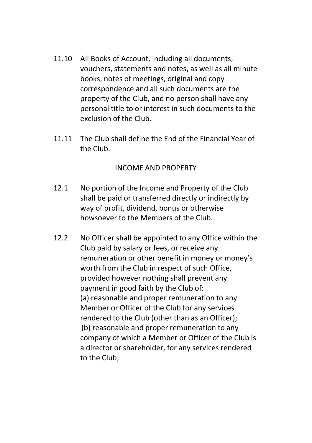- 11.10 All Books of Account, including all documents, vouchers, statements and notes, as well as all minute books, notes of meetings, original and copy correspondence and all such documents are the property of the Club, and no person shall have any personal title to or interest in such documents to the exclusion of the Club.
- 11.11 The Club shall define the End of the Financial Year of the Club.

#### INCOME AND PROPERTY

- 12.1 No portion of the Income and Property of the Club shall be paid or transferred directly or indirectly by way of profit, dividend, bonus or otherwise howsoever to the Members of the Club.
- 12.2 No Officer shall be appointed to any Office within the Club paid by salary or fees, or receive any remuneration or other benefit in money or money's worth from the Club in respect of such Office, provided however nothing shall prevent any payment in good faith by the Club of: (a) reasonable and proper remuneration to any Member or Officer of the Club for any services rendered to the Club (other than as an Officer); (b) reasonable and proper remuneration to any company of which a Member or Officer of the Club is a director or shareholder, for any services rendered to the Club;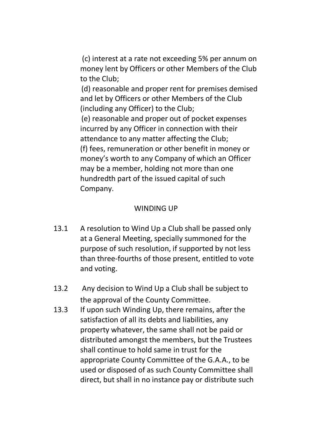(c) interest at a rate not exceeding 5% per annum on money lent by Officers or other Members of the Club to the Club;

(d) reasonable and proper rent for premises demised and let by Officers or other Members of the Club (including any Officer) to the Club;

(e) reasonable and proper out of pocket expenses incurred by any Officer in connection with their attendance to any matter affecting the Club; (f) fees, remuneration or other benefit in money or money's worth to any Company of which an Officer may be a member, holding not more than one hundredth part of the issued capital of such Company.

# WINDING UP

- 13.1 A resolution to Wind Up a Club shall be passed only at a General Meeting, specially summoned for the purpose of such resolution, if supported by not less than three-fourths of those present, entitled to vote and voting.
- 13.2 Any decision to Wind Up a Club shall be subject to the approval of the County Committee.
- 13.3 If upon such Winding Up, there remains, after the satisfaction of all its debts and liabilities, any property whatever, the same shall not be paid or distributed amongst the members, but the Trustees shall continue to hold same in trust for the appropriate County Committee of the G.A.A., to be used or disposed of as such County Committee shall direct, but shall in no instance pay or distribute such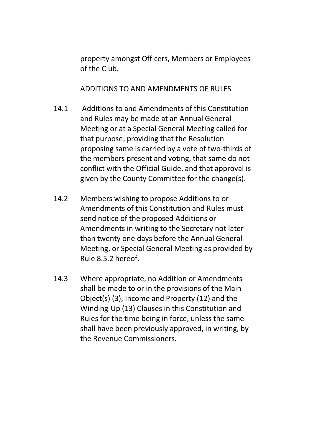property amongst Officers, Members or Employees of the Club.

ADDITIONS TO AND AMENDMENTS OF RULES

- 14.1 Additions to and Amendments of this Constitution and Rules may be made at an Annual General Meeting or at a Special General Meeting called for that purpose, providing that the Resolution proposing same is carried by a vote of two-thirds of the members present and voting, that same do not conflict with the Official Guide, and that approval is given by the County Committee for the change(s).
- 14.2 Members wishing to propose Additions to or Amendments of this Constitution and Rules must send notice of the proposed Additions or Amendments in writing to the Secretary not later than twenty one days before the Annual General Meeting, or Special General Meeting as provided by Rule 8.5.2 hereof.
- 14.3 Where appropriate, no Addition or Amendments shall be made to or in the provisions of the Main Object(s) (3), Income and Property (12) and the Winding-Up (13) Clauses in this Constitution and Rules for the time being in force, unless the same shall have been previously approved, in writing, by the Revenue Commissioners.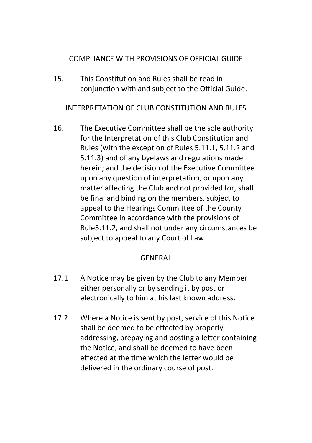## COMPLIANCE WITH PROVISIONS OF OFFICIAL GUIDE

15. This Constitution and Rules shall be read in conjunction with and subject to the Official Guide.

INTERPRETATION OF CLUB CONSTITUTION AND RULES

16. The Executive Committee shall be the sole authority for the Interpretation of this Club Constitution and Rules (with the exception of Rules 5.11.1, 5.11.2 and 5.11.3) and of any byelaws and regulations made herein; and the decision of the Executive Committee upon any question of interpretation, or upon any matter affecting the Club and not provided for, shall be final and binding on the members, subject to appeal to the Hearings Committee of the County Committee in accordance with the provisions of Rule5.11.2, and shall not under any circumstances be subject to appeal to any Court of Law.

## GENERAL

- 17.1 A Notice may be given by the Club to any Member either personally or by sending it by post or electronically to him at his last known address.
- 17.2 Where a Notice is sent by post, service of this Notice shall be deemed to be effected by properly addressing, prepaying and posting a letter containing the Notice, and shall be deemed to have been effected at the time which the letter would be delivered in the ordinary course of post.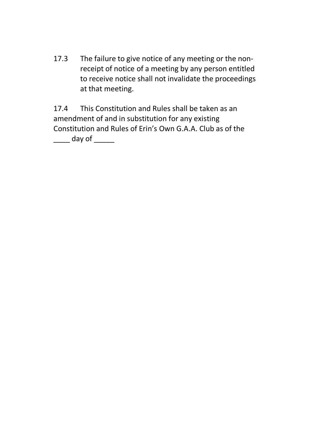17.3 The failure to give notice of any meeting or the nonreceipt of notice of a meeting by any person entitled to receive notice shall not invalidate the proceedings at that meeting.

17.4 This Constitution and Rules shall be taken as an amendment of and in substitution for any existing Constitution and Rules of Erin's Own G.A.A. Club as of the day of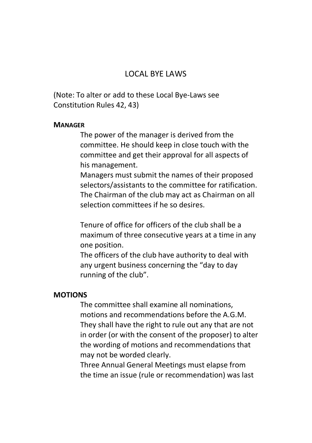## LOCAL BYE LAWS

(Note: To alter or add to these Local Bye-Laws see Constitution Rules 42, 43)

#### **MANAGER**

The power of the manager is derived from the committee. He should keep in close touch with the committee and get their approval for all aspects of his management.

Managers must submit the names of their proposed selectors/assistants to the committee for ratification. The Chairman of the club may act as Chairman on all selection committees if he so desires.

Tenure of office for officers of the club shall be a maximum of three consecutive years at a time in any one position.

The officers of the club have authority to deal with any urgent business concerning the "day to day running of the club".

#### **MOTIONS**

The committee shall examine all nominations, motions and recommendations before the A.G.M. They shall have the right to rule out any that are not in order (or with the consent of the proposer) to alter the wording of motions and recommendations that may not be worded clearly.

Three Annual General Meetings must elapse from the time an issue (rule or recommendation) was last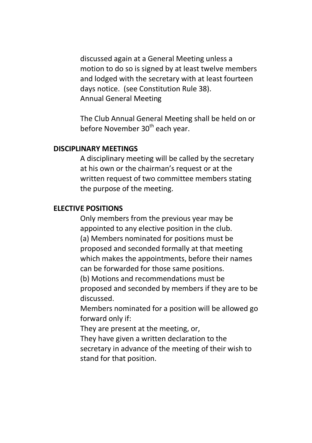discussed again at a General Meeting unless a motion to do so is signed by at least twelve members and lodged with the secretary with at least fourteen days notice. (see Constitution Rule 38). Annual General Meeting

The Club Annual General Meeting shall be held on or before November 30<sup>th</sup> each year.

#### **DISCIPLINARY MEETINGS**

A disciplinary meeting will be called by the secretary at his own or the chairman's request or at the written request of two committee members stating the purpose of the meeting.

#### **ELECTIVE POSITIONS**

Only members from the previous year may be appointed to any elective position in the club. (a) Members nominated for positions must be proposed and seconded formally at that meeting which makes the appointments, before their names can be forwarded for those same positions. (b) Motions and recommendations must be proposed and seconded by members if they are to be discussed.

Members nominated for a position will be allowed go forward only if:

They are present at the meeting, or,

They have given a written declaration to the secretary in advance of the meeting of their wish to stand for that position.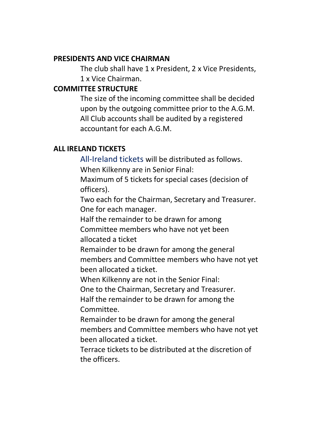#### **PRESIDENTS AND VICE CHAIRMAN**

The club shall have 1 x President, 2 x Vice Presidents, 1 x Vice Chairman.

#### **COMMITTEE STRUCTURE**

The size of the incoming committee shall be decided upon by the outgoing committee prior to the A.G.M. All Club accounts shall be audited by a registered accountant for each A.G.M.

## **ALL IRELAND TICKETS**

All-Ireland tickets will be distributed as follows.

When Kilkenny are in Senior Final:

Maximum of 5 tickets for special cases (decision of officers).

Two each for the Chairman, Secretary and Treasurer. One for each manager.

Half the remainder to be drawn for among

Committee members who have not yet been allocated a ticket

Remainder to be drawn for among the general members and Committee members who have not yet been allocated a ticket.

When Kilkenny are not in the Senior Final:

One to the Chairman, Secretary and Treasurer.

Half the remainder to be drawn for among the Committee.

Remainder to be drawn for among the general members and Committee members who have not yet been allocated a ticket.

Terrace tickets to be distributed at the discretion of the officers.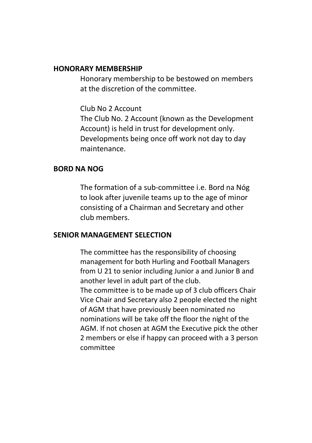#### **HONORARY MEMBERSHIP**

Honorary membership to be bestowed on members at the discretion of the committee.

Club No 2 Account

The Club No. 2 Account (known as the Development Account) is held in trust for development only. Developments being once off work not day to day maintenance.

#### **BORD NA NOG**

The formation of a sub-committee i.e. Bord na Nóg to look after juvenile teams up to the age of minor consisting of a Chairman and Secretary and other club members.

#### **SENIOR MANAGEMENT SELECTION**

The committee has the responsibility of choosing management for both Hurling and Football Managers from U 21 to senior including Junior a and Junior B and another level in adult part of the club.

The committee is to be made up of 3 club officers Chair Vice Chair and Secretary also 2 people elected the night of AGM that have previously been nominated no nominations will be take off the floor the night of the AGM. If not chosen at AGM the Executive pick the other 2 members or else if happy can proceed with a 3 person committee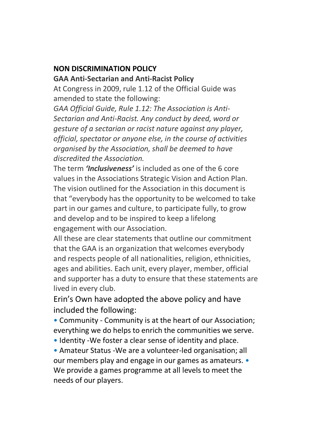# **NON DISCRIMINATION POLICY**

#### **GAA Anti-Sectarian and Anti-Racist Policy**

At Congress in 2009, rule 1.12 of the Official Guide was amended to state the following:

*GAA Official Guide, Rule 1.12: The Association is Anti-Sectarian and Anti-Racist. Any conduct by deed, word or gesture of a sectarian or racist nature against any player, official, spectator or anyone else, in the course of activities organised by the Association, shall be deemed to have discredited the Association.*

The term *'Inclusiveness'* is included as one of the 6 core values in the Associations Strategic Vision and Action Plan. The vision outlined for the Association in this document is that "everybody has the opportunity to be welcomed to take part in our games and culture, to participate fully, to grow and develop and to be inspired to keep a lifelong engagement with our Association.

All these are clear statements that outline our commitment that the GAA is an organization that welcomes everybody and respects people of all nationalities, religion, ethnicities, ages and abilities. Each unit, every player, member, official and supporter has a duty to ensure that these statements are lived in every club.

Erin's Own have adopted the above policy and have included the following:

• Community - Community is at the heart of our Association; everything we do helps to enrich the communities we serve.

• Identity -We foster a clear sense of identity and place.

• Amateur Status -We are a volunteer-led organisation; all our members play and engage in our games as amateurs. • We provide a games programme at all levels to meet the needs of our players.